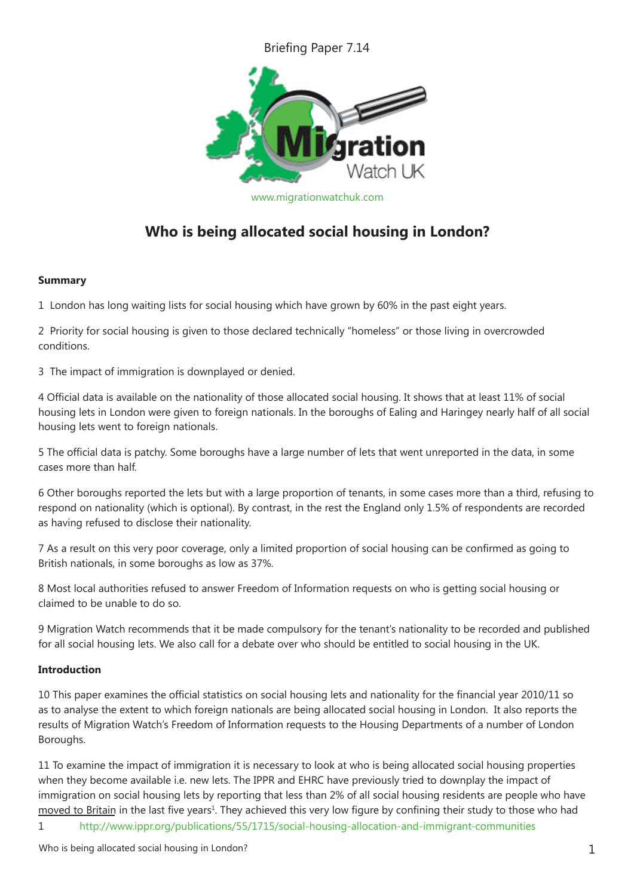## Briefing Paper 7.14



[www.migrationwatchuk.com](http://www.migrationwatchuk.com)

# **Who is being allocated social housing in London?**

#### **Summary**

1 London has long waiting lists for social housing which have grown by 60% in the past eight years.

2 Priority for social housing is given to those declared technically "homeless" or those living in overcrowded conditions.

3 The impact of immigration is downplayed or denied.

4 Official data is available on the nationality of those allocated social housing. It shows that at least 11% of social housing lets in London were given to foreign nationals. In the boroughs of Ealing and Haringey nearly half of all social housing lets went to foreign nationals.

5 The official data is patchy. Some boroughs have a large number of lets that went unreported in the data, in some cases more than half.

6 Other boroughs reported the lets but with a large proportion of tenants, in some cases more than a third, refusing to respond on nationality (which is optional). By contrast, in the rest the England only 1.5% of respondents are recorded as having refused to disclose their nationality.

7 As a result on this very poor coverage, only a limited proportion of social housing can be confirmed as going to British nationals, in some boroughs as low as 37%.

8 Most local authorities refused to answer Freedom of Information requests on who is getting social housing or claimed to be unable to do so.

9 Migration Watch recommends that it be made compulsory for the tenant's nationality to be recorded and published for all social housing lets. We also call for a debate over who should be entitled to social housing in the UK.

#### **Introduction**

10 This paper examines the official statistics on social housing lets and nationality for the financial year 2010/11 so as to analyse the extent to which foreign nationals are being allocated social housing in London. It also reports the results of Migration Watch's Freedom of Information requests to the Housing Departments of a number of London Boroughs.

11 To examine the impact of immigration it is necessary to look at who is being allocated social housing properties when they become available i.e. new lets. The IPPR and EHRC have previously tried to downplay the impact of immigration on social housing lets by reporting that less than 2% of all social housing residents are people who have moved to Britain in the last five years<sup>1</sup>. They achieved this very low figure by confining their study to those who had

1 <http://www.ippr.org/publications/55/1715/social-housing-allocation-and-immigrant-communities>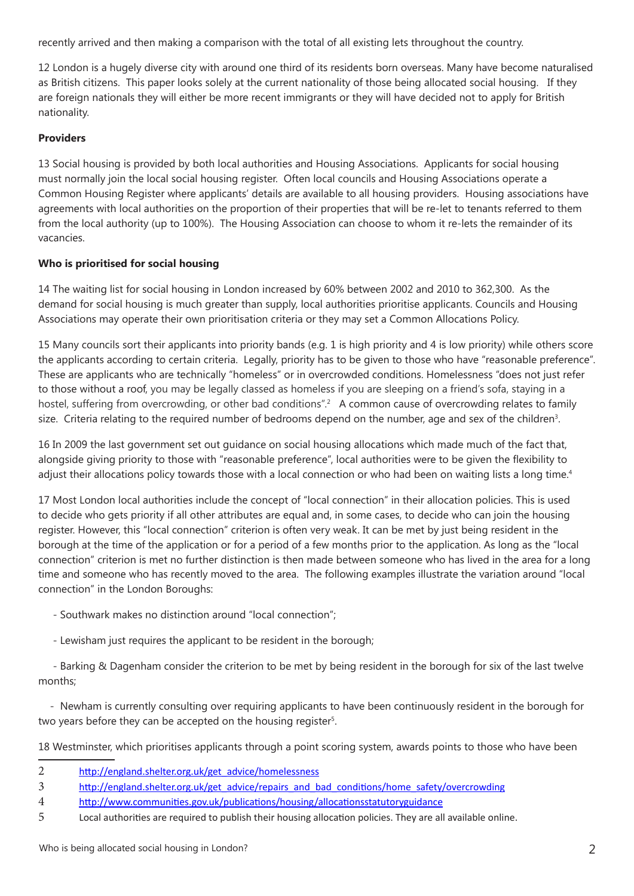recently arrived and then making a comparison with the total of all existing lets throughout the country.

12 London is a hugely diverse city with around one third of its residents born overseas. Many have become naturalised as British citizens. This paper looks solely at the current nationality of those being allocated social housing. If they are foreign nationals they will either be more recent immigrants or they will have decided not to apply for British nationality.

## **Providers**

13 Social housing is provided by both local authorities and Housing Associations. Applicants for social housing must normally join the local social housing register. Often local councils and Housing Associations operate a Common Housing Register where applicants' details are available to all housing providers. Housing associations have agreements with local authorities on the proportion of their properties that will be re-let to tenants referred to them from the local authority (up to 100%). The Housing Association can choose to whom it re-lets the remainder of its vacancies.

#### **Who is prioritised for social housing**

14 The waiting list for social housing in London increased by 60% between 2002 and 2010 to 362,300. As the demand for social housing is much greater than supply, local authorities prioritise applicants. Councils and Housing Associations may operate their own prioritisation criteria or they may set a Common Allocations Policy.

15 Many councils sort their applicants into priority bands (e.g. 1 is high priority and 4 is low priority) while others score the applicants according to certain criteria. Legally, priority has to be given to those who have "reasonable preference". These are applicants who are technically "homeless" or in overcrowded conditions. Homelessness "does not just refer to those without a roof, you may be legally classed as homeless if you are sleeping on a friend's sofa, staying in a hostel, suffering from overcrowding, or other bad conditions".<sup>2</sup> A common cause of overcrowding relates to family size. Criteria relating to the required number of bedrooms depend on the number, age and sex of the children<sup>3</sup>.

16 In 2009 the last government set out guidance on social housing allocations which made much of the fact that, alongside giving priority to those with "reasonable preference", local authorities were to be given the flexibility to adjust their allocations policy towards those with a local connection or who had been on waiting lists a long time.<sup>4</sup>

17 Most London local authorities include the concept of "local connection" in their allocation policies. This is used to decide who gets priority if all other attributes are equal and, in some cases, to decide who can join the housing register. However, this "local connection" criterion is often very weak. It can be met by just being resident in the borough at the time of the application or for a period of a few months prior to the application. As long as the "local connection" criterion is met no further distinction is then made between someone who has lived in the area for a long time and someone who has recently moved to the area. The following examples illustrate the variation around "local connection" in the London Boroughs:

- Southwark makes no distinction around "local connection";
- Lewisham just requires the applicant to be resident in the borough;

 - Barking & Dagenham consider the criterion to be met by being resident in the borough for six of the last twelve months;

 - Newham is currently consulting over requiring applicants to have been continuously resident in the borough for two years before they can be accepted on the housing register<sup>5</sup>.

18 Westminster, which prioritises applicants through a point scoring system, awards points to those who have been

- 2 [http://england.shelter.org.uk/get\\_advice/homelessness](http://england.shelter.org.uk/get_advice/homelessness)
- 3 [http://england.shelter.org.uk/get\\_advice/repairs\\_and\\_bad\\_conditions/home\\_safety/overcrowding](http://england.shelter.org.uk/get_advice/repairs_and_bad_conditions/home_safety/overcrowding)
- 4 <http://www.communities.gov.uk/publications/housing/allocationsstatutoryguidance>
- 5 Local authorities are required to publish their housing allocation policies. They are all available online.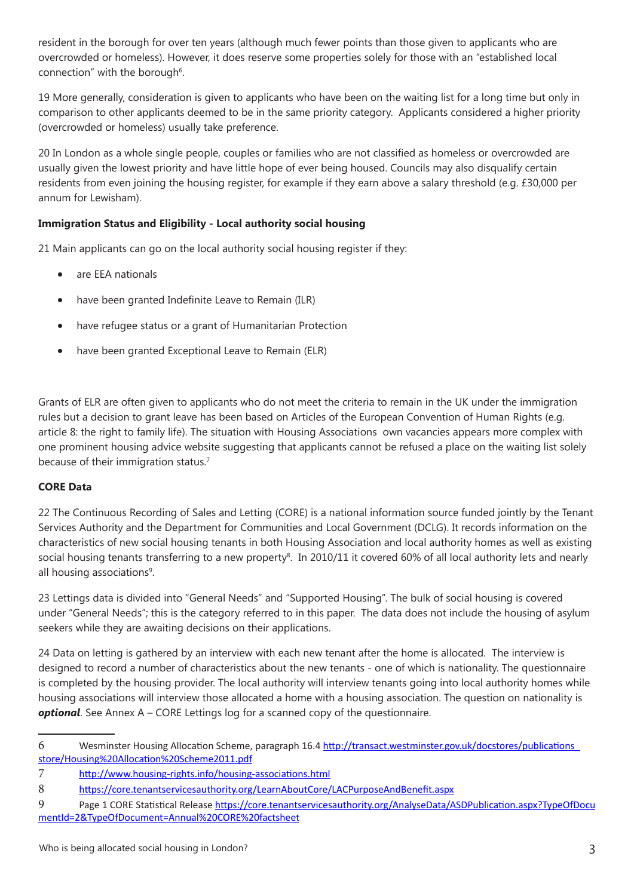resident in the borough for over ten years (although much fewer points than those given to applicants who are overcrowded or homeless). However, it does reserve some properties solely for those with an "established local connection" with the borough<sup>6</sup>.

19 More generally, consideration is given to applicants who have been on the waiting list for a long time but only in comparison to other applicants deemed to be in the same priority category. Applicants considered a higher priority (overcrowded or homeless) usually take preference.

20 In London as a whole single people, couples or families who are not classified as homeless or overcrowded are usually given the lowest priority and have little hope of ever being housed. Councils may also disqualify certain residents from even joining the housing register, for example if they earn above a salary threshold (e.g. £30,000 per annum for Lewisham).

## **Immigration Status and Eligibility - Local authority social housing**

21 Main applicants can go on the local authority social housing register if they:

- are EEA nationals
- have been granted Indefinite Leave to Remain (ILR)
- have refugee status or a grant of Humanitarian Protection
- have been granted Exceptional Leave to Remain (ELR)

Grants of ELR are often given to applicants who do not meet the criteria to remain in the UK under the immigration rules but a decision to grant leave has been based on Articles of the European Convention of Human Rights (e.g. article 8: the right to family life). The situation with Housing Associations own vacancies appears more complex with one prominent housing advice website suggesting that applicants cannot be refused a place on the waiting list solely because of their immigration status.<sup>7</sup>

#### **CORE Data**

22 The Continuous Recording of Sales and Letting (CORE) is a national information source funded jointly by the Tenant Services Authority and the Department for Communities and Local Government (DCLG). It records information on the characteristics of new social housing tenants in both Housing Association and local authority homes as well as existing social housing tenants transferring to a new property<sup>8</sup>. In 2010/11 it covered 60% of all local authority lets and nearly all housing associations<sup>9</sup>.

23 Lettings data is divided into "General Needs" and "Supported Housing". The bulk of social housing is covered under "General Needs"; this is the category referred to in this paper. The data does not include the housing of asylum seekers while they are awaiting decisions on their applications.

24 Data on letting is gathered by an interview with each new tenant after the home is allocated. The interview is designed to record a number of characteristics about the new tenants - one of which is nationality. The questionnaire is completed by the housing provider. The local authority will interview tenants going into local authority homes while housing associations will interview those allocated a home with a housing association. The question on nationality is **optional**. See Annex A – CORE Lettings log for a scanned copy of the questionnaire.

<sup>6</sup> Wesminster Housing Allocation Scheme, paragraph 16.4 [http://transact.westminster.gov.uk/docstores/publications\\_](http://transact.westminster.gov.uk/docstores/publications_store/Housing Allocation Scheme2011.pdf) [store/Housing%20Allocation%20Scheme2011.pdf](http://transact.westminster.gov.uk/docstores/publications_store/Housing Allocation Scheme2011.pdf)

<sup>7</sup> <http://www.housing-rights.info/housing-associations.html>

<sup>8</sup> <https://core.tenantservicesauthority.org/LearnAboutCore/LACPurposeAndBenefit.aspx>

<sup>9</sup> Page 1 CORE Statistical Release [https://core.tenantservicesauthority.org/AnalyseData/ASDPublication.aspx?TypeOfDocu](https://core.tenantservicesauthority.org/AnalyseData/ASDPublication.aspx?TypeOfDocumentId=2&TypeOfDocument=Annual CORE factsheet) [mentId=2&TypeOfDocument=Annual%20CORE%20factsheet](https://core.tenantservicesauthority.org/AnalyseData/ASDPublication.aspx?TypeOfDocumentId=2&TypeOfDocument=Annual CORE factsheet)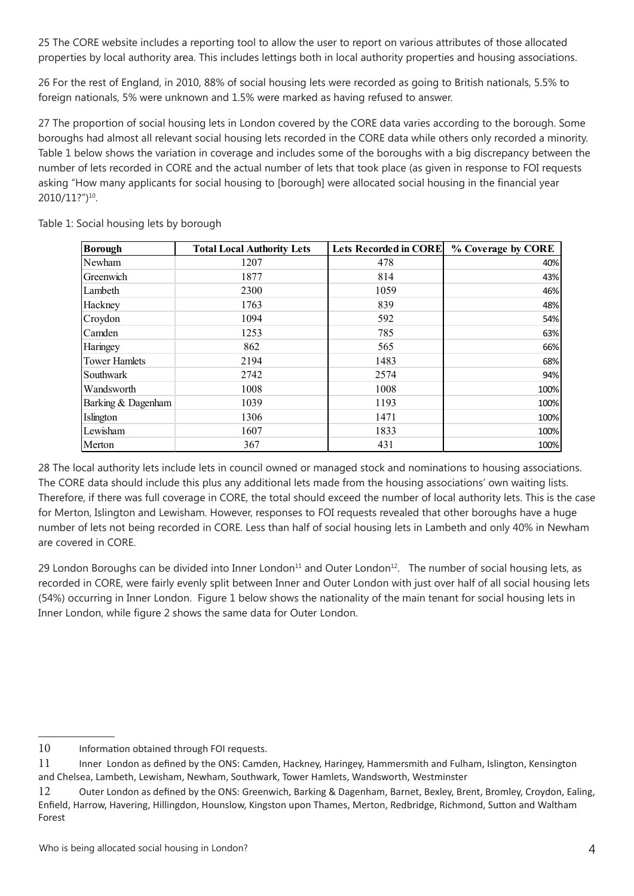25 The CORE website includes a reporting tool to allow the user to report on various attributes of those allocated properties by local authority area. This includes lettings both in local authority properties and housing associations.

26 For the rest of England, in 2010, 88% of social housing lets were recorded as going to British nationals, 5.5% to foreign nationals, 5% were unknown and 1.5% were marked as having refused to answer.

27 The proportion of social housing lets in London covered by the CORE data varies according to the borough. Some boroughs had almost all relevant social housing lets recorded in the CORE data while others only recorded a minority. Table 1 below shows the variation in coverage and includes some of the boroughs with a big discrepancy between the number of lets recorded in CORE and the actual number of lets that took place (as given in response to FOI requests asking "How many applicants for social housing to [borough] were allocated social housing in the financial year 2010/11?")10.

| <b>Borough</b>       | <b>Total Local Authority Lets</b> | <b>Lets Recorded in CORE</b> | % Coverage by CORE |
|----------------------|-----------------------------------|------------------------------|--------------------|
| Newham               | 1207                              | 478                          | 40%                |
| Greenwich            | 1877                              | 814                          | 43%                |
| Lambeth              | 2300                              | 1059                         | 46%                |
| Hackney              | 1763                              | 839                          | 48%                |
| Croydon              | 1094                              | 592                          | 54%                |
| Camden               | 1253                              | 785                          | 63%                |
| Haringey             | 862                               | 565                          | 66%                |
| <b>Tower Hamlets</b> | 2194                              | 1483                         | 68%                |
| Southwark            | 2742                              | 2574                         | 94%                |
| Wandsworth           | 1008                              | 1008                         | 100%               |
| Barking & Dagenham   | 1039                              | 1193                         | 100%               |
| Islington            | 1306                              | 1471                         | 100%               |
| Lewisham             | 1607                              | 1833                         | 100%               |
| Merton               | 367                               | 431                          | 100%               |

Table 1: Social housing lets by borough

28 The local authority lets include lets in council owned or managed stock and nominations to housing associations. The CORE data should include this plus any additional lets made from the housing associations' own waiting lists. Therefore, if there was full coverage in CORE, the total should exceed the number of local authority lets. This is the case for Merton, Islington and Lewisham. However, responses to FOI requests revealed that other boroughs have a huge number of lets not being recorded in CORE. Less than half of social housing lets in Lambeth and only 40% in Newham are covered in CORE.

29 London Boroughs can be divided into Inner London $11$  and Outer London $12$ . The number of social housing lets, as recorded in CORE, were fairly evenly split between Inner and Outer London with just over half of all social housing lets (54%) occurring in Inner London. Figure 1 below shows the nationality of the main tenant for social housing lets in Inner London, while figure 2 shows the same data for Outer London.

<sup>10</sup> Information obtained through FOI requests.

<sup>11</sup> Inner London as defined by the ONS: Camden, Hackney, Haringey, Hammersmith and Fulham, Islington, Kensington and Chelsea, Lambeth, Lewisham, Newham, Southwark, Tower Hamlets, Wandsworth, Westminster

<sup>12</sup> Outer London as defined by the ONS: Greenwich, Barking & Dagenham, Barnet, Bexley, Brent, Bromley, Croydon, Ealing, Enfield, Harrow, Havering, Hillingdon, Hounslow, Kingston upon Thames, Merton, Redbridge, Richmond, Sutton and Waltham Forest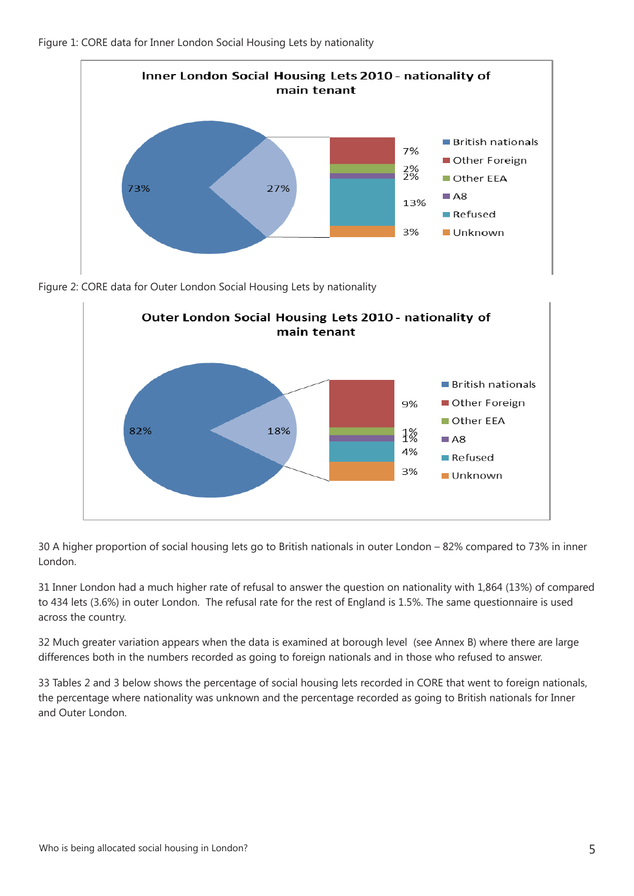



Figure 2: CORE data for Outer London Social Housing Lets by nationality



30 A higher proportion of social housing lets go to British nationals in outer London – 82% compared to 73% in inner London.

31 Inner London had a much higher rate of refusal to answer the question on nationality with 1,864 (13%) of compared to 434 lets (3.6%) in outer London. The refusal rate for the rest of England is 1.5%. The same questionnaire is used across the country.

32 Much greater variation appears when the data is examined at borough level (see Annex B) where there are large differences both in the numbers recorded as going to foreign nationals and in those who refused to answer.

33 Tables 2 and 3 below shows the percentage of social housing lets recorded in CORE that went to foreign nationals, the percentage where nationality was unknown and the percentage recorded as going to British nationals for Inner and Outer London.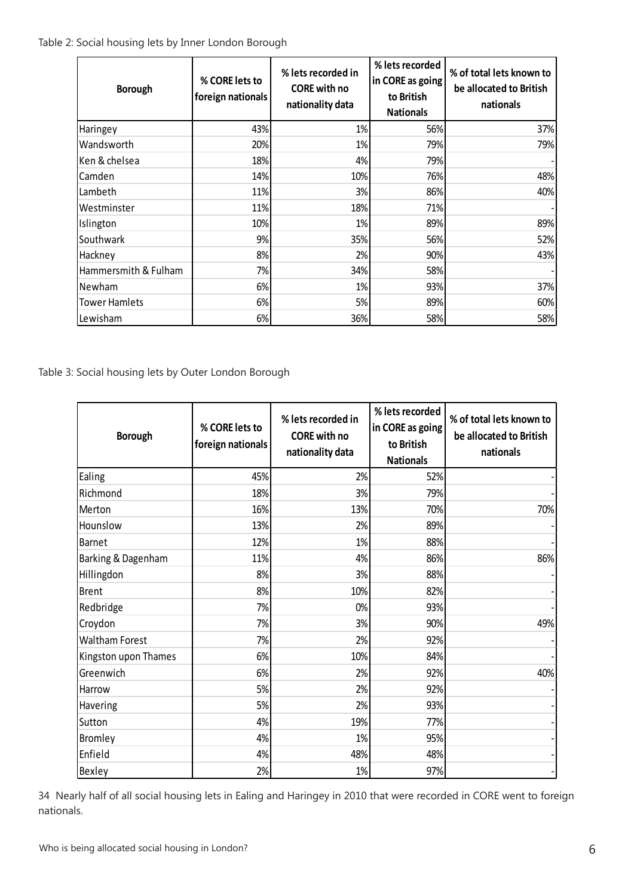Table 2: Social housing lets by Inner London Borough

| <b>Borough</b>       | % CORE lets to<br>foreign nationals | % lets recorded in<br><b>CORE</b> with no<br>nationality data | % lets recorded<br>in CORE as going<br>to British<br><b>Nationals</b> | % of total lets known to<br>be allocated to British<br>nationals |
|----------------------|-------------------------------------|---------------------------------------------------------------|-----------------------------------------------------------------------|------------------------------------------------------------------|
| Haringey             | 43%                                 | 1%                                                            | 56%                                                                   | 37%                                                              |
| Wandsworth           | 20%                                 | 1%                                                            | 79%                                                                   | 79%                                                              |
| Ken & chelsea        | 18%                                 | 4%                                                            | 79%                                                                   |                                                                  |
| Camden               | 14%                                 | 10%                                                           | 76%                                                                   | 48%                                                              |
| Lambeth              | 11%                                 | 3%                                                            | 86%                                                                   | 40%                                                              |
| Westminster          | 11%                                 | 18%                                                           | 71%                                                                   |                                                                  |
| Islington            | 10%                                 | 1%                                                            | 89%                                                                   | 89%                                                              |
| Southwark            | 9%                                  | 35%                                                           | 56%                                                                   | 52%                                                              |
| Hackney              | 8%                                  | 2%                                                            | 90%                                                                   | 43%                                                              |
| Hammersmith & Fulham | 7%                                  | 34%                                                           | 58%                                                                   |                                                                  |
| Newham               | 6%                                  | 1%                                                            | 93%                                                                   | 37%                                                              |
| <b>Tower Hamlets</b> | 6%                                  | 5%                                                            | 89%                                                                   | 60%                                                              |
| Lewisham             | 6%                                  | 36%                                                           | 58%                                                                   | 58%                                                              |

Table 3: Social housing lets by Outer London Borough

| <b>Borough</b>        | % lets recorded in<br>% CORE lets to<br><b>CORE</b> with no<br>foreign nationals<br>nationality data |     | % lets recorded<br>in CORE as going<br>to British<br><b>Nationals</b> | % of total lets known to<br>be allocated to British<br>nationals |
|-----------------------|------------------------------------------------------------------------------------------------------|-----|-----------------------------------------------------------------------|------------------------------------------------------------------|
| Ealing                | 45%                                                                                                  | 2%  | 52%                                                                   |                                                                  |
| Richmond              | 18%                                                                                                  | 3%  | 79%                                                                   |                                                                  |
| Merton                | 16%                                                                                                  | 13% | 70%                                                                   | 70%                                                              |
| Hounslow              | 13%                                                                                                  | 2%  | 89%                                                                   |                                                                  |
| <b>Barnet</b>         | 12%                                                                                                  | 1%  | 88%                                                                   |                                                                  |
| Barking & Dagenham    | 11%                                                                                                  | 4%  | 86%                                                                   | 86%                                                              |
| Hillingdon            | 8%                                                                                                   | 3%  | 88%                                                                   |                                                                  |
| <b>Brent</b>          | 8%                                                                                                   | 10% | 82%                                                                   |                                                                  |
| Redbridge             | 7%                                                                                                   | 0%  | 93%                                                                   |                                                                  |
| Croydon               | 7%                                                                                                   | 3%  | 90%                                                                   | 49%                                                              |
| <b>Waltham Forest</b> | 7%                                                                                                   | 2%  | 92%                                                                   |                                                                  |
| Kingston upon Thames  | 6%                                                                                                   | 10% | 84%                                                                   |                                                                  |
| Greenwich             | 6%                                                                                                   | 2%  | 92%                                                                   | 40%                                                              |
| Harrow                | 5%                                                                                                   | 2%  | 92%                                                                   |                                                                  |
| Havering              | 5%                                                                                                   | 2%  | 93%                                                                   |                                                                  |
| Sutton                | 4%                                                                                                   | 19% | 77%                                                                   |                                                                  |
| <b>Bromley</b>        | 4%                                                                                                   | 1%  | 95%                                                                   |                                                                  |
| Enfield               | 4%                                                                                                   | 48% | 48%                                                                   |                                                                  |
| Bexley                | 2%                                                                                                   | 1%  | 97%                                                                   |                                                                  |

34 Nearly half of all social housing lets in Ealing and Haringey in 2010 that were recorded in CORE went to foreign nationals.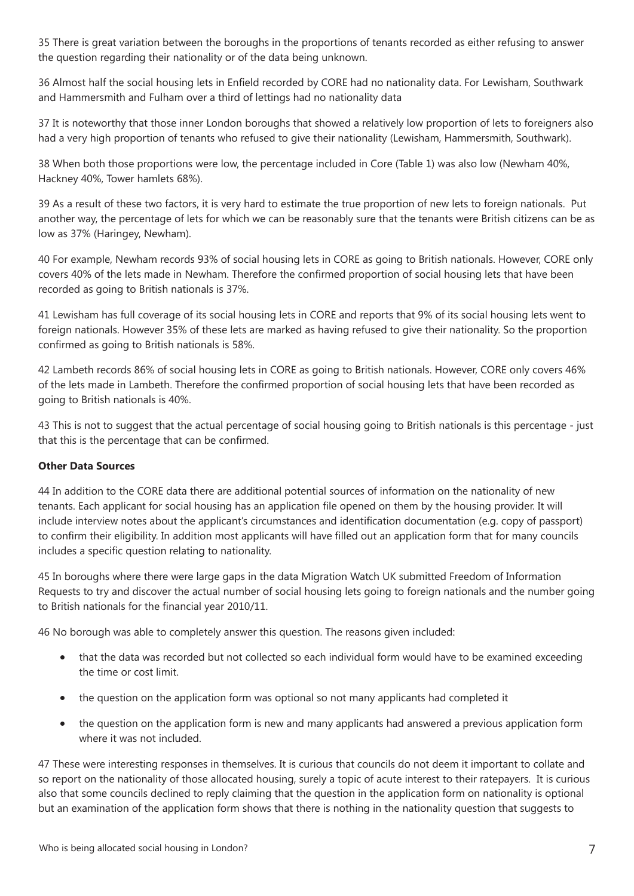35 There is great variation between the boroughs in the proportions of tenants recorded as either refusing to answer the question regarding their nationality or of the data being unknown.

36 Almost half the social housing lets in Enfield recorded by CORE had no nationality data. For Lewisham, Southwark and Hammersmith and Fulham over a third of lettings had no nationality data

37 It is noteworthy that those inner London boroughs that showed a relatively low proportion of lets to foreigners also had a very high proportion of tenants who refused to give their nationality (Lewisham, Hammersmith, Southwark).

38 When both those proportions were low, the percentage included in Core (Table 1) was also low (Newham 40%, Hackney 40%, Tower hamlets 68%).

39 As a result of these two factors, it is very hard to estimate the true proportion of new lets to foreign nationals. Put another way, the percentage of lets for which we can be reasonably sure that the tenants were British citizens can be as low as 37% (Haringey, Newham).

40 For example, Newham records 93% of social housing lets in CORE as going to British nationals. However, CORE only covers 40% of the lets made in Newham. Therefore the confirmed proportion of social housing lets that have been recorded as going to British nationals is 37%.

41 Lewisham has full coverage of its social housing lets in CORE and reports that 9% of its social housing lets went to foreign nationals. However 35% of these lets are marked as having refused to give their nationality. So the proportion confirmed as going to British nationals is 58%.

42 Lambeth records 86% of social housing lets in CORE as going to British nationals. However, CORE only covers 46% of the lets made in Lambeth. Therefore the confirmed proportion of social housing lets that have been recorded as going to British nationals is 40%.

43 This is not to suggest that the actual percentage of social housing going to British nationals is this percentage - just that this is the percentage that can be confirmed.

#### **Other Data Sources**

44 In addition to the CORE data there are additional potential sources of information on the nationality of new tenants. Each applicant for social housing has an application file opened on them by the housing provider. It will include interview notes about the applicant's circumstances and identification documentation (e.g. copy of passport) to confirm their eligibility. In addition most applicants will have filled out an application form that for many councils includes a specific question relating to nationality.

45 In boroughs where there were large gaps in the data Migration Watch UK submitted Freedom of Information Requests to try and discover the actual number of social housing lets going to foreign nationals and the number going to British nationals for the financial year 2010/11.

46 No borough was able to completely answer this question. The reasons given included:

- that the data was recorded but not collected so each individual form would have to be examined exceeding the time or cost limit.
- the question on the application form was optional so not many applicants had completed it
- the question on the application form is new and many applicants had answered a previous application form where it was not included.

47 These were interesting responses in themselves. It is curious that councils do not deem it important to collate and so report on the nationality of those allocated housing, surely a topic of acute interest to their ratepayers. It is curious also that some councils declined to reply claiming that the question in the application form on nationality is optional but an examination of the application form shows that there is nothing in the nationality question that suggests to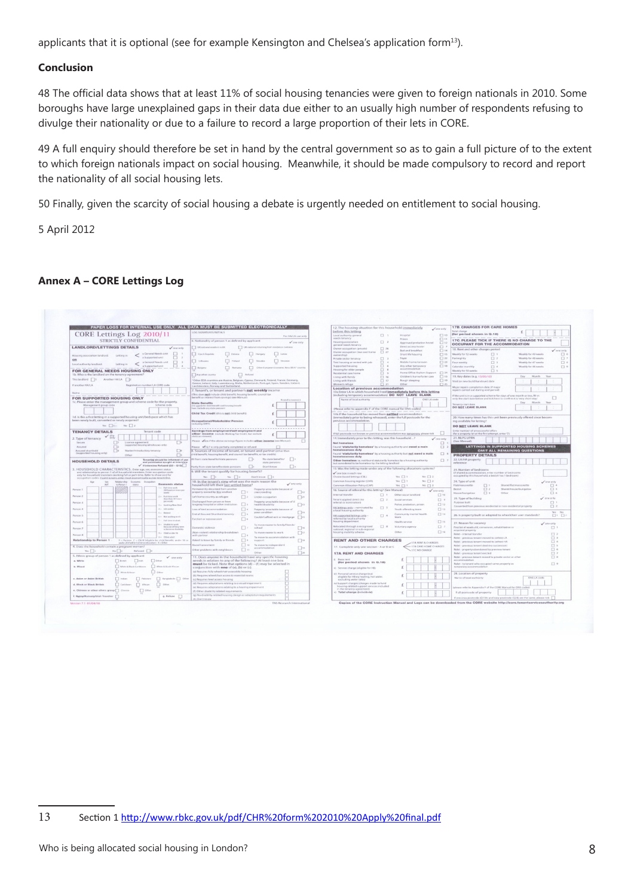applicants that it is optional (see for example Kensington and Chelsea's application form<sup>13</sup>).

#### **Conclusion**

48 The official data shows that at least 11% of social housing tenancies were given to foreign nationals in 2010. Some boroughs have large unexplained gaps in their data due either to an usually high number of respondents refusing to divulge their nationality or due to a failure to record a large proportion of their lets in CORE.

49 A full enquiry should therefore be set in hand by the central government so as to gain a full picture of to the extent to which foreign nationals impact on social housing. Meanwhile, it should be made compulsory to record and report the nationality of all social housing lets.

50 Finally, given the scarcity of social housing a debate is urgently needed on entitlement to social housing.

5 April 2012

#### **Annex A – CORE Lettings Log**

|                                                                                                                                                         | PAPER LOGS FOR INTERNAL USE ONLY. ALL DATA MUST BE SUBMITTED ELECTRONICALLY                                                                                                 | 12. The housing situation for this household immediately<br>Some only                                                                        | <b>17B. CHARGES FOR CARE HOMES</b>                                                                                    |  |
|---------------------------------------------------------------------------------------------------------------------------------------------------------|-----------------------------------------------------------------------------------------------------------------------------------------------------------------------------|----------------------------------------------------------------------------------------------------------------------------------------------|-----------------------------------------------------------------------------------------------------------------------|--|
| CORE Lettings Log 2010/11                                                                                                                               | LOG SIGNATURES/INITIALS                                                                                                                                                     | before this letting                                                                                                                          | otal charge<br>(for period shown in Q.18)                                                                             |  |
|                                                                                                                                                         | For HA/LA use only                                                                                                                                                          | $\Box$ 10<br>Local authority general<br>$\Box$<br>Hospital<br>needs tenancy<br>Prison.                                                       |                                                                                                                       |  |
| STRICTLY CONFIDENTIAL                                                                                                                                   | Mationality of person 1 as defined by applicant<br>$\sqrt{$ one only                                                                                                        | $\Box$ 11<br>$\square$ 2<br>Housing association<br>Approved probation hostel<br>$\Box$ 12                                                    | 17C. PLEASE TICK IF THERE IS NO CHARGE TO THE                                                                         |  |
| <b>LANDLORD/LETTINGS DETAILS</b><br>$\sqrt{2}$ and $\alpha$                                                                                             | UK national resident in UK<br>UK national returning from residence overseas                                                                                                 | general needs tenancy<br>Direct access hoste<br>□<br>口 26<br>Owner occupation (private)<br>Bed and breakfast                                 | OCCUPANT FOR THE ACCOMMODATION<br>18. Rent and other charges period                                                   |  |
| a General Needs unit<br>$\Box$                                                                                                                          | Czech Republic<br>Estonia<br>Hungary<br>Latvia                                                                                                                              | $\Box$ 14<br>Owner organization (low cost home<br>$\Box$ 27<br>$\Box$ 15<br>Short life housing<br>(girlizterwo                               | one only<br>$\Box$<br>Weekly for 49 weeks<br><b>Weekly for 52 weeks</b>                                               |  |
| Housing association landlord.<br>Letting in<br>a Supported unit<br>п<br>$\rightarrow$                                                                   |                                                                                                                                                                             | $\Box$ 22<br>$\Box$<br>Private sector tenancy<br>Foyer                                                                                       | $\square$ 2<br>Weekly for 48 weeks<br>ortnightly                                                                      |  |
| OR<br>a General Needs unit<br>$\Box$ 3<br>Local authority landlord:<br>Letting in<br>$\,<$                                                              | Peland<br>Slovakia<br>Slovenia<br>1 Lithuania                                                                                                                               | 口 4<br>Mobile home/carayan<br>口23<br>Tied housing or rented with job                                                                         | $\Box$ 3<br>Weekly for 47 weeks<br>nur-weekly                                                                         |  |
| a Supported unit<br>$\mathcal{A}$                                                                                                                       | Other European Economic Area (EEA)* country<br><b>Bulgaria</b><br><b>Domini</b>                                                                                             | Any other temporary<br>Supported housing<br>口 6<br>$\Box$ 18                                                                                 | 口4<br>Weekly for 46 weeks<br>alendar monthly                                                                          |  |
| FOR GENERAL NEEDS HOUSING ONLY                                                                                                                          |                                                                                                                                                                             | Housing for alder people<br>$\Box$ 8<br>Home Office Asylum Support [7] 24<br>tesidential care home<br>$\Box$                                 | 口 s<br>Neekly for 50 weeks                                                                                            |  |
| 1b. Who is the landlord on the tenancy agreement?                                                                                                       | Any other country<br>Refused                                                                                                                                                | Children's home/foster care<br>$\Box$ 13<br>Living with family<br>$\Box$ 16                                                                  | Month Year<br>19. Key dates (e.g. 13/05/10)<br>Day.                                                                   |  |
| This landlord   1 Another HA/LA   2                                                                                                                     | Other EEA countries are Austria, Belgium, Cyprus, Denmark, Finland, France, Germany,                                                                                        | Living with friends<br>$\Box$ 12<br>Rough sleeping<br>$\Box$ 19                                                                              | foid (or new build handover) date                                                                                     |  |
| Registration number/LA CORE code<br>If another HA/LA                                                                                                    | Greece, Ireland, Italy, Luxembourg, Malta, Netherlands, Portugal, Spain, Sweden, Iceland,<br>jechtenstein, Norway and Switzerland.                                          | Other<br>Women's refuge<br>$\Box$ 21<br>口25                                                                                                  | Major repairs completion date (if major                                                                               |  |
| Name:                                                                                                                                                   | . Tenant's, or tenant and partner's net weekly income                                                                                                                       | Location of previous accommodation<br>13a Enter LA in which household lived immediately before this letting                                  | egairs carried out during yold periodi-                                                                               |  |
|                                                                                                                                                         | This does not include child benefit, housing benefit, council tax                                                                                                           | (including temporary accommodation) DO NOT LEAVE BLANK                                                                                       | the unit is in a supported scheme for stays of one month or less, fill in                                             |  |
| FOR SUPPORTED HOUSING ONLY                                                                                                                              | enefit or interest from savings) (see Manual)<br>Round to nearest 6                                                                                                         | Name of local authority<br>ONS LA code                                                                                                       | п<br>only the start date below and tick here to confirm it is 'very short stay'.                                      |  |
| 1c. Please enter the management group and scheme code for the property.<br>Scheme code<br>Management group code                                         | <b>State Benefits</b><br>ald benefit and housing benefit                                                                                                                    |                                                                                                                                              | Month<br>Day.<br><b>Year</b><br>Tenancy start date                                                                    |  |
|                                                                                                                                                         | o pos enter cray state pension)                                                                                                                                             | (Please refer to appendix F of the CORE manual for ONS codes)                                                                                | DO NOT LEAVE BLANK                                                                                                    |  |
|                                                                                                                                                         | Child Tax Credit (this is not child benefit)                                                                                                                                | 13b If the household has moved from settled accommodation                                                                                    |                                                                                                                       |  |
| 1d. Is this a first letting in a supported housing unit/bedspace which has<br>been newly built, converted or newly acquired                             |                                                                                                                                                                             | (immediately prior to being rehoused), enter the full postcode for the<br>previous accommodation.                                            | 20. How many times has this unit been previously offered since becom-                                                 |  |
|                                                                                                                                                         | Occupational/Stakeholder Pension<br><b>Auditor SERPSS</b>                                                                                                                   |                                                                                                                                              | ing available for letting?                                                                                            |  |
| Yes 1 1 No 2                                                                                                                                            | ------------                                                                                                                                                                |                                                                                                                                              | <b>DO NOT LEAVE BLANK</b>                                                                                             |  |
| <b>TENANCY DETAILS</b><br>Tenant code                                                                                                                   | Earnings from employment/self employment and<br>other income (include Working Tax Credit, but exclude                                                                       | If full postcode not known or previous accommodation was temporary, please tick<br>- 11                                                      | <b>Enter number of unsuccessful offers</b><br>(for a property let at the first attempt, enter 0)                      |  |
| 2. Type of tenancy                                                                                                                                      |                                                                                                                                                                             | 14. Immediately prior to this letting, was this household ?<br>one only                                                                      | 21. NLPG UPRN                                                                                                         |  |
| $\Box$<br>$\Box$ s<br>Secure<br>Licence agreement                                                                                                       | lease your if the above earnings figure includes other income (see Manual)<br>$\Box$                                                                                        | Not homeless<br>$\Box$                                                                                                                       | See Manuall                                                                                                           |  |
| (supported housing/almshouses only<br>$\Box$<br>Assured                                                                                                 | lease of Q.7 is only partially completed or refused                                                                                                                         | Found 'statutorily homeless' by a housing authority and owed a main<br>$\Box$                                                                | LETTINGS IN SUPPORTED HOUSING SCHEMES                                                                                 |  |
| $\Box$<br>Assured shorthold<br>$\square$<br>Starter/introductory tenancy<br>(supported housing only)                                                    | homelessness duty<br>I. Sources of income of tenant, or tenant and partner (other than<br>Found 'statutorily homeless' by a housing authority but not owed a main<br>$\Box$ |                                                                                                                                              | <b>OMIT ALL REMAINING QUESTIONS</b>                                                                                   |  |
| $\Box$<br>Other                                                                                                                                         | hild benefit, housing benefit, and council tax benefits, or tax credits)                                                                                                    | homelessness duty                                                                                                                            | <b>PROPERTY DETAILS</b>                                                                                               |  |
| Tenantial should be informed of use<br><b>HOUSEHOLD DETAILS</b><br>and permission sought at inter                                                       | If from state benefits/state pensions<br>$\Box$<br>No state benefits/<br>state pension                                                                                      | $\Box$<br>Other homeless i.e. not found statutorily homeless by a housing authority<br>out considered to be homeless by the letting landlord | 22. LA/HA property<br>reference                                                                                       |  |
| $\sqrt{H\int_0^2  f(x) ^2}$ Refused (Q3 - Q10)                                                                                                          | $\Box$<br>artly from state benefits/state pensions<br>$\Box$<br>Don't know                                                                                                  |                                                                                                                                              |                                                                                                                       |  |
| 3. HOUSEHOLD CHARACTERISTICS. Enter age, sex, economic status<br>and relationship to person 1 of all household members. Enter occupation code           | 9. Will the tenant qualify for housing benefit?                                                                                                                             | 15. Was the letting made under any of the following allocations systems?<br>one box in each row                                              | 23. Number of bedrooms<br>(if shared accommodation, enter number of bedrooms                                          |  |
| only for household members working full or part-time. Refer to show card for                                                                            | Yes $\Box$ 1 No $\Box$ 2<br>Don't know     3                                                                                                                                | Choice-based lettings (CBL)<br>Yes $\Box$ 1<br>$No \square 2$                                                                                | occupied by this household; a bedsit has 1 bedroom)                                                                   |  |
| occupation codes. If joint tenant, enter most economically active tenant first.<br>Relationship Economic Occupatio                                      | 10. In the tenant's view what was the main reason the                                                                                                                       | Yes [] 1<br>$No \square 2$<br>Common housing register (CHR)                                                                                  | 24. Type of unit<br>/ one only                                                                                        |  |
| Economic status<br>M/E<br>to Person 1<br>status                                                                                                         | $\angle$ one only<br>household left their last settled home?                                                                                                                | Common Allocation Policy (CAP)<br>Yes [] 1<br>$Ni$ $2$                                                                                       | Shared flat/maisonette<br>$\Box$ 4<br>$\Box$<br>Flat/maisonette                                                       |  |
| Euli rima work<br>Person:<br>(30 hours or more per                                                                                                      | ermanently decanted from another<br>Property unsuitable because of<br>$\Box u$<br>property owned by this landlord                                                           | 16. Source of referral for this letting? (See Manual)<br>v one only                                                                          | Reduit<br>$\square$ 2<br>Shared house/bungalow<br>$\square$ 5                                                         |  |
| weeks<br>Person:<br>$2 =$ Part time work                                                                                                                | overcrowding<br>n<br>Left home country as refugee<br>$\Box$<br>Under-occupation<br>$\sqrt{21}$                                                                              | Internal transfer<br>$\Box$<br>Other social landlord<br>$\Box$ 10                                                                            | $\square$ 3<br>口。<br>House/bungalow<br>Other                                                                          |  |
| fiess than 10 hour<br>per week)                                                                                                                         | Sischarged from prison or from<br>Property unsuitable because of il                                                                                                         | $\Box$<br>Tenant applied direct (no<br>$\Box$ 2<br>Social services                                                                           | 25. Type of building<br>one only                                                                                      |  |
| Person 3<br>- Good teaching Deal                                                                                                                        | ongstay hospital or other institution<br>$\frac{1}{2}$<br>$\Box$ 13<br>health/disability                                                                                    | referral or nomination)<br>$\Box$ 12<br>Police, probation, prison                                                                            | $\Box$<br>Purpose built<br>Converted from previous residential or non-residential property<br>$\Box$ 2                |  |
| Person 4<br>4 = Job seeker                                                                                                                              | oss of tied accommodation<br>$\Box$ 4<br>Property unsuitable because of                                                                                                     | HA lettings only - nominated by<br>$\Box$ 3<br>$\square$ 13<br>Youth offending team<br>a local housing authority                             |                                                                                                                       |  |
| - Retired<br>Person:                                                                                                                                    | $\Box$ 14<br>poor condition<br>$\Box$ s<br>End of Assured Shorthold tenancy                                                                                                 | $\Box$ 14<br>Community mental health<br>HA supported lettings only -<br>$\Box$ 4                                                             | Van Mo<br>26. Is property built or adapted to wheelchair user standards?<br>$\square$ 1 $\square$ 2                   |  |
| Not seeking work<br>Tall turns student                                                                                                                  | Couldn't afford rent or mortgage [35<br>viction or repossession<br>$\Box$                                                                                                   | <b>TANTO</b><br>referred by local authority                                                                                                  |                                                                                                                       |  |
| Person 6<br>Arrest of Africa's - all                                                                                                                    | o move nearer to family/friends                                                                                                                                             | housing department<br>$\Box$ 15<br>Health service                                                                                            | 27. Reason for vacancy<br>Some only                                                                                   |  |
| Person 7<br>schools or disability                                                                                                                       | П<br>$\Box$ 16<br>comestic violence<br>school                                                                                                                               | $\square$ 8<br>Relocated through a recognised<br>$\Box$ 7<br>Voluntary agency<br>national, regional or sub-regional                          | First let of newbuild, conversion, rehabilitation or<br>$\Box$<br>acquired property                                   |  |
| i = Child under 16<br>Person B                                                                                                                          | Non-violent) relationship breakdown<br>To move nearer to work<br>$\Box$ 17                                                                                                  | 口16<br>ousing mobility scheme<br>Other                                                                                                       | $\Box$ 2<br>Relet - internal transfer                                                                                 |  |
| $0 =$ Other adult                                                                                                                                       | with partner.<br>п.<br>To move to accommodation with                                                                                                                        |                                                                                                                                              | Relet - previous tenant moved to (other) LA<br>$\square$ 3                                                            |  |
| Relationship to Person 1<br>$P =$ Partner $C =$ Child (eligible for child benefit, under 16 or<br>reder 20 if still in full-time refuration). X = Other | laked to leave by family or friends<br>$\Box$<br>$\Box$ 18<br>support                                                                                                       | <b>RENT AND OTHER CHARGES</b><br>17A RENT & CHARGES                                                                                          | Relet - previous tenant moved to (other) HA<br>$\Box$ 4                                                               |  |
| 4. Does the household contain a pregnant woman?                                                                                                         | $\Box$ to<br>Incial harassment<br>To move to independent<br>$\Box$ 19<br>accommodation                                                                                      | - 17B CARE HOME CHARGES<br>17. Complete only one section - A or B or C                                                                       | $\Box$ s<br>Relet - previous tenant died (no succession)<br>$\Box$ 6<br>Relet - property abandoned by previous tenant |  |
| Yes 1<br>$No \Box 2$<br>Refused [1]                                                                                                                     | ther problems with neighbours<br>$\Box$ 11<br>$\Box$ 20                                                                                                                     | 17C NO CHARGE<br><b>17A RENT AND CHARGES</b>                                                                                                 | $\Box$<br>Relet - previous tenant evicted                                                                             |  |
| 5. Ethnic group of person 1 as defined by applicant<br>$\checkmark$ one only                                                                            | 11. Does anyone in the household have any specific housing                                                                                                                  | Gasic race                                                                                                                                   | $\Box$ 8<br>Relet - previous tenant moved to private sector or other                                                  |  |
| a. White<br>16sh<br>$\Box$ Other<br><b>British</b>                                                                                                      | needs in relation to any of the following? At least one box                                                                                                                 | (for period shown in Q.18)                                                                                                                   | accommodation<br>$\Box$ 2                                                                                             |  |
| b. Mixed<br>White & Black Caribbean<br>White & Black African                                                                                            | must be ticked. Note that options (d) - (f) may be selected in<br>conjunction with one of (a), (b) or (c).                                                                  | Service charge (eligible for HB)                                                                                                             | Relet - to tenant who occupied same property as<br>temporary accommodation                                            |  |
| White & Asian<br>$-$ 0%                                                                                                                                 | (a) Requires fully wheelchair accessible housing                                                                                                                            |                                                                                                                                              | 28 Location of property                                                                                               |  |
|                                                                                                                                                         | (b) Requires wheelchair access to essential rooms.                                                                                                                          | Il Personal service charge (not<br>eligible for HB eg heating, hot water.                                                                    | Name of local authority<br>ONS LA code                                                                                |  |
| Bangladeshi   Other<br>c. Asian or Asian British<br>  Indian<br>Palestane                                                                               | (c) Requires level access housing                                                                                                                                           | excluding water rates)                                                                                                                       |                                                                                                                       |  |
| d. Black or Black British<br>Caribbean<br><b>FT</b> African<br>Other                                                                                    | (d) Requires adaptations relating to a visual impairment<br>(e) Requires adaptations relating to a hearing impairment                                                       | of Support charges (charges made to fund<br>housing-related support services included                                                        | please refer to Appendix F of the CORE Manual for ONS codes)                                                          |  |
| e. Chinese or other ethnic group   Chincia<br>$\Box$ on                                                                                                 | (f) Other disability related requirements                                                                                                                                   | in the tenancy agreement!<br>Total charge (i+ii+iii+iv)                                                                                      | Full postcode of property                                                                                             |  |
|                                                                                                                                                         | (g) No disability related housing design or adaptation requirements                                                                                                         |                                                                                                                                              |                                                                                                                       |  |
|                                                                                                                                                         |                                                                                                                                                                             |                                                                                                                                              | If previous postcode (Q13b) and new postcode (Q28) are the same, please tick                                          |  |
| f. Gypsy/Romany/Irish Travelier<br>$g.$ Refuse $\qquad \qquad$                                                                                          | <b>N Don't know</b>                                                                                                                                                         |                                                                                                                                              |                                                                                                                       |  |
| Mersiers 7.1 01/04/10                                                                                                                                   | TNS Research International                                                                                                                                                  | Copies of the CORE Instruction Manual and Logs can be downloaded from the CORE website http://core.tenantservicesauthority.org               |                                                                                                                       |  |

<sup>13</sup> Section 1 [http://www.rbkc.gov.uk/pdf/CHR%20form%202010%20Apply%20final.pdf](http://www.rbkc.gov.uk/pdf/CHR form 2010 Apply final.pdf)